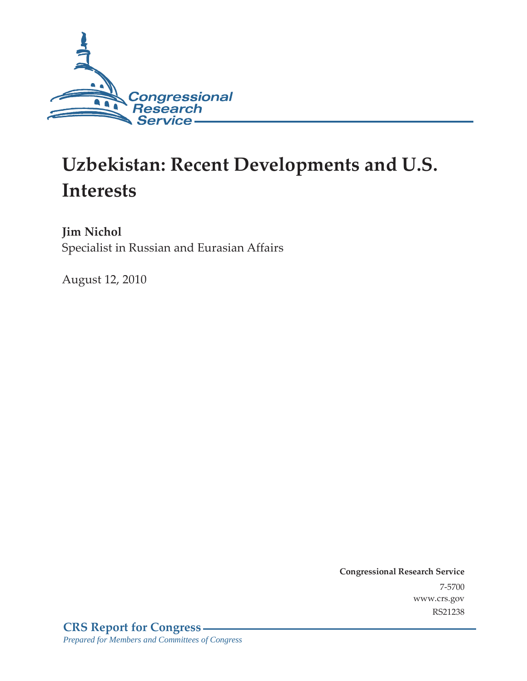

# **Uzbekistan: Recent Developments and U.S. Interests**

**Jim Nichol**  Specialist in Russian and Eurasian Affairs

August 12, 2010

**Congressional Research Service** 7-5700 www.crs.gov RS21238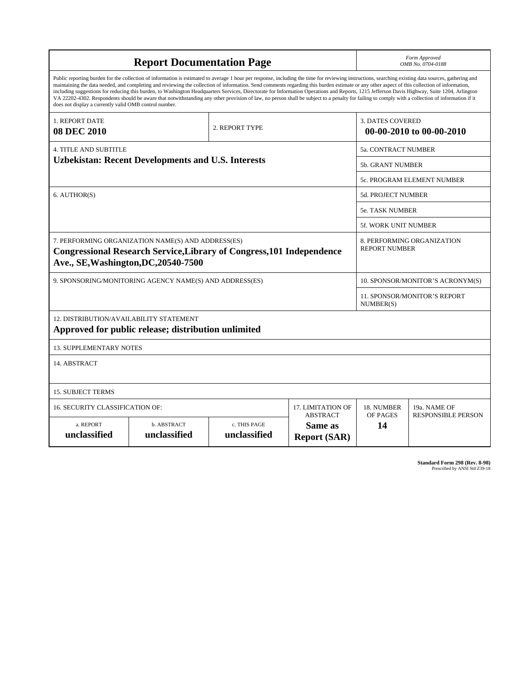| <b>Report Documentation Page</b>                                                                                                                                                                                                                                                                                                                                                                                                                                                                                                                                                                                                                                                                                                                                                                                                                                   |                                                     |                                                     |                                                   |                                                    | Form Approved<br>OMB No. 0704-0188 |  |
|--------------------------------------------------------------------------------------------------------------------------------------------------------------------------------------------------------------------------------------------------------------------------------------------------------------------------------------------------------------------------------------------------------------------------------------------------------------------------------------------------------------------------------------------------------------------------------------------------------------------------------------------------------------------------------------------------------------------------------------------------------------------------------------------------------------------------------------------------------------------|-----------------------------------------------------|-----------------------------------------------------|---------------------------------------------------|----------------------------------------------------|------------------------------------|--|
| Public reporting burden for the collection of information is estimated to average 1 hour per response, including the time for reviewing instructions, searching existing data sources, gathering and<br>maintaining the data needed, and completing and reviewing the collection of information. Send comments regarding this burden estimate or any other aspect of this collection of information,<br>including suggestions for reducing this burden, to Washington Headquarters Services, Directorate for Information Operations and Reports, 1215 Jefferson Davis Highway, Suite 1204, Arlington<br>VA 22202-4302. Respondents should be aware that notwithstanding any other provision of law, no person shall be subject to a penalty for failing to comply with a collection of information if it<br>does not display a currently valid OMB control number. |                                                     |                                                     |                                                   |                                                    |                                    |  |
| 1. REPORT DATE<br>2. REPORT TYPE<br><b>08 DEC 2010</b>                                                                                                                                                                                                                                                                                                                                                                                                                                                                                                                                                                                                                                                                                                                                                                                                             |                                                     | <b>3. DATES COVERED</b><br>00-00-2010 to 00-00-2010 |                                                   |                                                    |                                    |  |
| <b>4. TITLE AND SUBTITLE</b>                                                                                                                                                                                                                                                                                                                                                                                                                                                                                                                                                                                                                                                                                                                                                                                                                                       |                                                     |                                                     |                                                   | 5a. CONTRACT NUMBER                                |                                    |  |
| <b>Uzbekistan: Recent Developments and U.S. Interests</b>                                                                                                                                                                                                                                                                                                                                                                                                                                                                                                                                                                                                                                                                                                                                                                                                          |                                                     |                                                     |                                                   | <b>5b. GRANT NUMBER</b>                            |                                    |  |
|                                                                                                                                                                                                                                                                                                                                                                                                                                                                                                                                                                                                                                                                                                                                                                                                                                                                    |                                                     |                                                     |                                                   | 5c. PROGRAM ELEMENT NUMBER                         |                                    |  |
| 6. AUTHOR(S)                                                                                                                                                                                                                                                                                                                                                                                                                                                                                                                                                                                                                                                                                                                                                                                                                                                       |                                                     |                                                     |                                                   | <b>5d. PROJECT NUMBER</b>                          |                                    |  |
|                                                                                                                                                                                                                                                                                                                                                                                                                                                                                                                                                                                                                                                                                                                                                                                                                                                                    |                                                     |                                                     |                                                   | <b>5e. TASK NUMBER</b>                             |                                    |  |
|                                                                                                                                                                                                                                                                                                                                                                                                                                                                                                                                                                                                                                                                                                                                                                                                                                                                    |                                                     |                                                     |                                                   | 5f. WORK UNIT NUMBER                               |                                    |  |
| 7. PERFORMING ORGANIZATION NAME(S) AND ADDRESS(ES)<br><b>Congressional Research Service, Library of Congress, 101 Independence</b><br>Ave., SE, Washington, DC, 20540-7500                                                                                                                                                                                                                                                                                                                                                                                                                                                                                                                                                                                                                                                                                         |                                                     |                                                     |                                                   | 8. PERFORMING ORGANIZATION<br><b>REPORT NUMBER</b> |                                    |  |
| 9. SPONSORING/MONITORING AGENCY NAME(S) AND ADDRESS(ES)                                                                                                                                                                                                                                                                                                                                                                                                                                                                                                                                                                                                                                                                                                                                                                                                            |                                                     |                                                     |                                                   | 10. SPONSOR/MONITOR'S ACRONYM(S)                   |                                    |  |
|                                                                                                                                                                                                                                                                                                                                                                                                                                                                                                                                                                                                                                                                                                                                                                                                                                                                    |                                                     |                                                     |                                                   | 11. SPONSOR/MONITOR'S REPORT<br>NUMBER(S)          |                                    |  |
| 12. DISTRIBUTION/AVAILABILITY STATEMENT                                                                                                                                                                                                                                                                                                                                                                                                                                                                                                                                                                                                                                                                                                                                                                                                                            | Approved for public release; distribution unlimited |                                                     |                                                   |                                                    |                                    |  |
| <b>13. SUPPLEMENTARY NOTES</b>                                                                                                                                                                                                                                                                                                                                                                                                                                                                                                                                                                                                                                                                                                                                                                                                                                     |                                                     |                                                     |                                                   |                                                    |                                    |  |
| 14. ABSTRACT                                                                                                                                                                                                                                                                                                                                                                                                                                                                                                                                                                                                                                                                                                                                                                                                                                                       |                                                     |                                                     |                                                   |                                                    |                                    |  |
| <b>15. SUBJECT TERMS</b>                                                                                                                                                                                                                                                                                                                                                                                                                                                                                                                                                                                                                                                                                                                                                                                                                                           |                                                     |                                                     |                                                   |                                                    |                                    |  |
|                                                                                                                                                                                                                                                                                                                                                                                                                                                                                                                                                                                                                                                                                                                                                                                                                                                                    | 16. SECURITY CLASSIFICATION OF:                     |                                                     |                                                   | 18. NUMBER                                         | 19a. NAME OF                       |  |
| a. REPORT<br>unclassified                                                                                                                                                                                                                                                                                                                                                                                                                                                                                                                                                                                                                                                                                                                                                                                                                                          | b. ABSTRACT<br>unclassified                         | c. THIS PAGE<br>unclassified                        | <b>ABSTRACT</b><br>Same as<br><b>Report (SAR)</b> | OF PAGES<br>14                                     | <b>RESPONSIBLE PERSON</b>          |  |

**Standard Form 298 (Rev. 8-98)**<br>Prescribed by ANSI Std Z39-18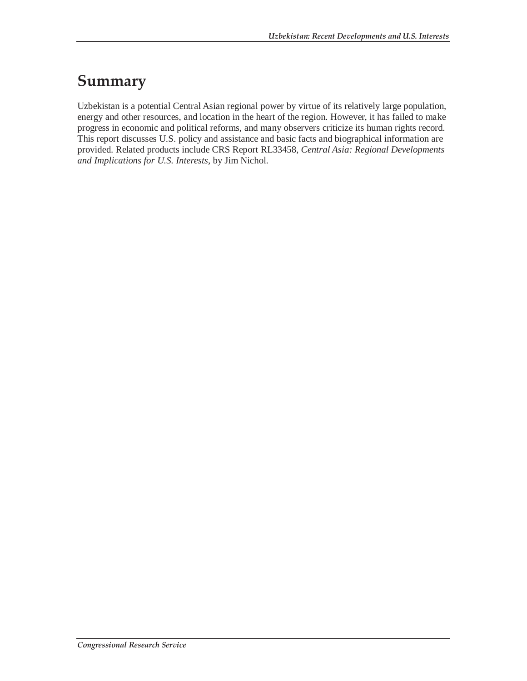### **Summary**

Uzbekistan is a potential Central Asian regional power by virtue of its relatively large population, energy and other resources, and location in the heart of the region. However, it has failed to make progress in economic and political reforms, and many observers criticize its human rights record. This report discusses U.S. policy and assistance and basic facts and biographical information are provided. Related products include CRS Report RL33458, *Central Asia: Regional Developments and Implications for U.S. Interests*, by Jim Nichol.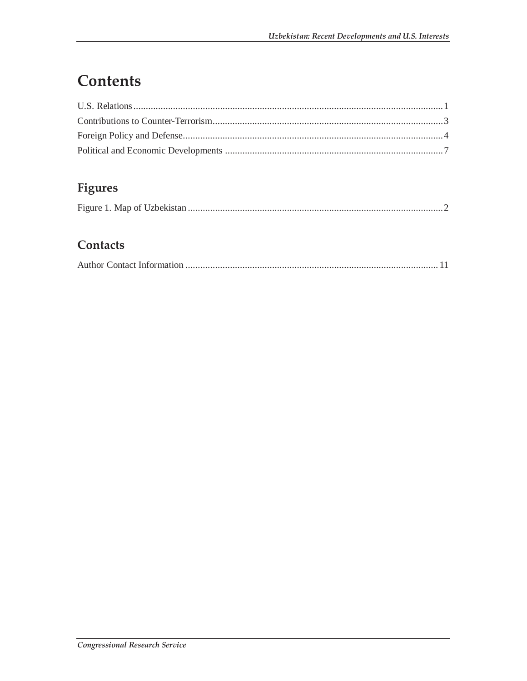## Contents

### Figures

|--|

### Contacts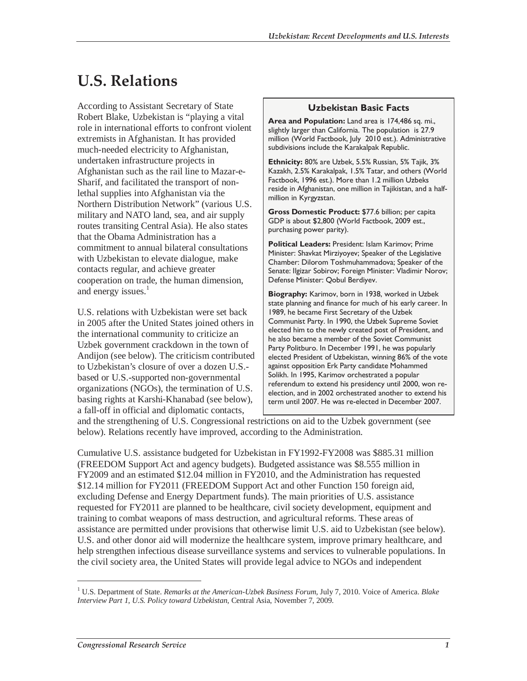## **U.S. Relations**

According to Assistant Secretary of State Robert Blake, Uzbekistan is "playing a vital role in international efforts to confront violent extremists in Afghanistan. It has provided much-needed electricity to Afghanistan, undertaken infrastructure projects in Afghanistan such as the rail line to Mazar-e-Sharif, and facilitated the transport of nonlethal supplies into Afghanistan via the Northern Distribution Network" (various U.S. military and NATO land, sea, and air supply routes transiting Central Asia). He also states that the Obama Administration has a commitment to annual bilateral consultations with Uzbekistan to elevate dialogue, make contacts regular, and achieve greater cooperation on trade, the human dimension, and energy issues.<sup>1</sup>

U.S. relations with Uzbekistan were set back in 2005 after the United States joined others in the international community to criticize an Uzbek government crackdown in the town of Andijon (see below). The criticism contributed to Uzbekistan's closure of over a dozen U.S. based or U.S.-supported non-governmental organizations (NGOs), the termination of U.S. basing rights at Karshi-Khanabad (see below), a fall-off in official and diplomatic contacts,

#### **Uzbekistan Basic Facts**

**Area and Population:** Land area is 174,486 sq. mi., slightly larger than California. The population is 27.9 million (World Factbook, July 2010 est.). Administrative subdivisions include the Karakalpak Republic.

**Ethnicity:** 80% are Uzbek, 5.5% Russian, 5% Tajik, 3% Kazakh, 2.5% Karakalpak, 1.5% Tatar, and others (World Factbook, 1996 est.). More than 1.2 million Uzbeks reside in Afghanistan, one million in Tajikistan, and a halfmillion in Kyrgyzstan.

**Gross Domestic Product:** \$77.6 billion; per capita GDP is about \$2,800 (World Factbook, 2009 est., purchasing power parity).

**Political Leaders:** President: Islam Karimov; Prime Minister: Shavkat Mirziyoyev; Speaker of the Legislative Chamber: Dilorom Toshmuhammadova; Speaker of the Senate: Ilgizar Sobirov; Foreign Minister: Vladimir Norov; Defense Minister: Qobul Berdiyev.

**Biography:** Karimov, born in 1938, worked in Uzbek state planning and finance for much of his early career. In 1989, he became First Secretary of the Uzbek Communist Party. In 1990, the Uzbek Supreme Soviet elected him to the newly created post of President, and he also became a member of the Soviet Communist Party Politburo. In December 1991, he was popularly elected President of Uzbekistan, winning 86% of the vote against opposition Erk Party candidate Mohammed Solikh. In 1995, Karimov orchestrated a popular referendum to extend his presidency until 2000, won reelection, and in 2002 orchestrated another to extend his term until 2007. He was re-elected in December 2007.

and the strengthening of U.S. Congressional restrictions on aid to the Uzbek government (see below). Relations recently have improved, according to the Administration.

Cumulative U.S. assistance budgeted for Uzbekistan in FY1992-FY2008 was \$885.31 million (FREEDOM Support Act and agency budgets). Budgeted assistance was \$8.555 million in FY2009 and an estimated \$12.04 million in FY2010, and the Administration has requested \$12.14 million for FY2011 (FREEDOM Support Act and other Function 150 foreign aid, excluding Defense and Energy Department funds). The main priorities of U.S. assistance requested for FY2011 are planned to be healthcare, civil society development, equipment and training to combat weapons of mass destruction, and agricultural reforms. These areas of assistance are permitted under provisions that otherwise limit U.S. aid to Uzbekistan (see below). U.S. and other donor aid will modernize the healthcare system, improve primary healthcare, and help strengthen infectious disease surveillance systems and services to vulnerable populations. In the civil society area, the United States will provide legal advice to NGOs and independent

<sup>&</sup>lt;sup>1</sup> U.S. Department of State. *Remarks at the American-Uzbek Business Forum*, July 7, 2010. Voice of America. *Blake Interview Part 1, U.S. Policy toward Uzbekistan*, Central Asia, November 7, 2009.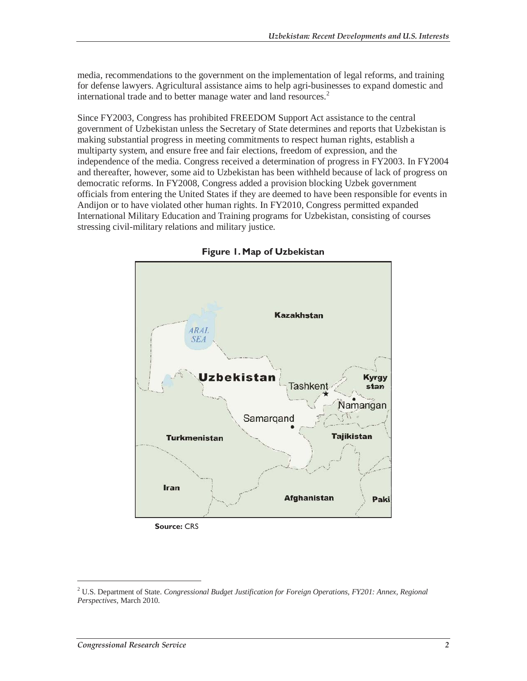media, recommendations to the government on the implementation of legal reforms, and training for defense lawyers. Agricultural assistance aims to help agri-businesses to expand domestic and international trade and to better manage water and land resources.<sup>2</sup>

Since FY2003, Congress has prohibited FREEDOM Support Act assistance to the central government of Uzbekistan unless the Secretary of State determines and reports that Uzbekistan is making substantial progress in meeting commitments to respect human rights, establish a multiparty system, and ensure free and fair elections, freedom of expression, and the independence of the media. Congress received a determination of progress in FY2003. In FY2004 and thereafter, however, some aid to Uzbekistan has been withheld because of lack of progress on democratic reforms. In FY2008, Congress added a provision blocking Uzbek government officials from entering the United States if they are deemed to have been responsible for events in Andijon or to have violated other human rights. In FY2010, Congress permitted expanded International Military Education and Training programs for Uzbekistan, consisting of courses stressing civil-military relations and military justice.



**Figure 1. Map of Uzbekistan** 

 **Source:** CRS

<sup>&</sup>lt;sup>2</sup> U.S. Department of State. *Congressional Budget Justification for Foreign Operations, FY201: Annex, Regional Perspectives,* March 2010*.*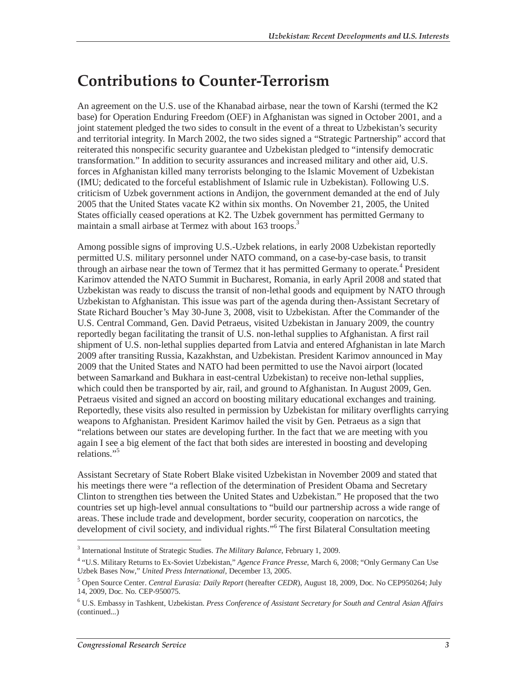### **Contributions to Counter-Terrorism**

An agreement on the U.S. use of the Khanabad airbase, near the town of Karshi (termed the K2 base) for Operation Enduring Freedom (OEF) in Afghanistan was signed in October 2001, and a joint statement pledged the two sides to consult in the event of a threat to Uzbekistan's security and territorial integrity. In March 2002, the two sides signed a "Strategic Partnership" accord that reiterated this nonspecific security guarantee and Uzbekistan pledged to "intensify democratic transformation." In addition to security assurances and increased military and other aid, U.S. forces in Afghanistan killed many terrorists belonging to the Islamic Movement of Uzbekistan (IMU; dedicated to the forceful establishment of Islamic rule in Uzbekistan). Following U.S. criticism of Uzbek government actions in Andijon, the government demanded at the end of July 2005 that the United States vacate K2 within six months. On November 21, 2005, the United States officially ceased operations at K2. The Uzbek government has permitted Germany to maintain a small airbase at Termez with about 163 troops.<sup>3</sup>

Among possible signs of improving U.S.-Uzbek relations, in early 2008 Uzbekistan reportedly permitted U.S. military personnel under NATO command, on a case-by-case basis, to transit through an airbase near the town of Termez that it has permitted Germany to operate.<sup>4</sup> President Karimov attended the NATO Summit in Bucharest, Romania, in early April 2008 and stated that Uzbekistan was ready to discuss the transit of non-lethal goods and equipment by NATO through Uzbekistan to Afghanistan. This issue was part of the agenda during then-Assistant Secretary of State Richard Boucher's May 30-June 3, 2008, visit to Uzbekistan. After the Commander of the U.S. Central Command, Gen. David Petraeus, visited Uzbekistan in January 2009, the country reportedly began facilitating the transit of U.S. non-lethal supplies to Afghanistan. A first rail shipment of U.S. non-lethal supplies departed from Latvia and entered Afghanistan in late March 2009 after transiting Russia, Kazakhstan, and Uzbekistan. President Karimov announced in May 2009 that the United States and NATO had been permitted to use the Navoi airport (located between Samarkand and Bukhara in east-central Uzbekistan) to receive non-lethal supplies, which could then be transported by air, rail, and ground to Afghanistan. In August 2009, Gen. Petraeus visited and signed an accord on boosting military educational exchanges and training. Reportedly, these visits also resulted in permission by Uzbekistan for military overflights carrying weapons to Afghanistan. President Karimov hailed the visit by Gen. Petraeus as a sign that "relations between our states are developing further. In the fact that we are meeting with you again I see a big element of the fact that both sides are interested in boosting and developing relations."<sup>5</sup>

Assistant Secretary of State Robert Blake visited Uzbekistan in November 2009 and stated that his meetings there were "a reflection of the determination of President Obama and Secretary Clinton to strengthen ties between the United States and Uzbekistan." He proposed that the two countries set up high-level annual consultations to "build our partnership across a wide range of areas. These include trade and development, border security, cooperation on narcotics, the development of civil society, and individual rights."<sup>6</sup> The first Bilateral Consultation meeting

<sup>3</sup> International Institute of Strategic Studies. *The Military Balance*, February 1, 2009.

<sup>&</sup>lt;sup>4</sup> "U.S. Military Returns to Ex-Soviet Uzbekistan," Agence France Presse, March 6, 2008; "Only Germany Can Use Uzbek Bases Now," *United Press International*, December 13, 2005.

<sup>5</sup> Open Source Center. *Central Eurasia: Daily Report* (hereafter *CEDR*), August 18, 2009, Doc. No CEP950264; July 14, 2009, Doc. No. CEP-950075.

<sup>6</sup> U.S. Embassy in Tashkent, Uzbekistan. *Press Conference of Assistant Secretary for South and Central Asian Affairs*  (continued...)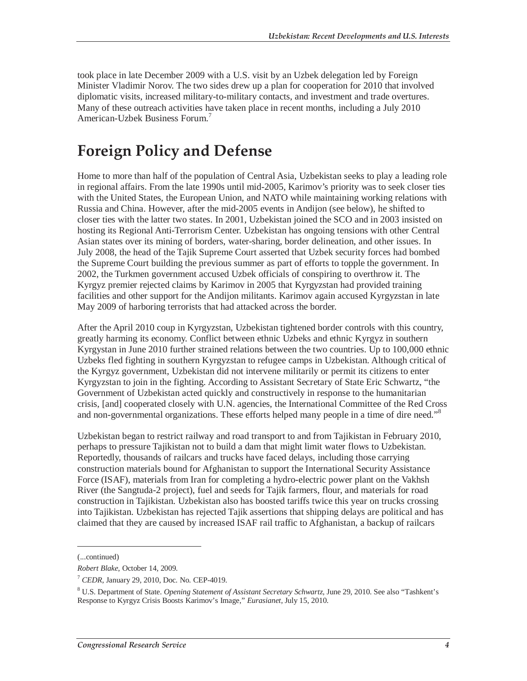took place in late December 2009 with a U.S. visit by an Uzbek delegation led by Foreign Minister Vladimir Norov. The two sides drew up a plan for cooperation for 2010 that involved diplomatic visits, increased military-to-military contacts, and investment and trade overtures. Many of these outreach activities have taken place in recent months, including a July 2010 American-Uzbek Business Forum.<sup>7</sup>

## **Foreign Policy and Defense**

Home to more than half of the population of Central Asia, Uzbekistan seeks to play a leading role in regional affairs. From the late 1990s until mid-2005, Karimov's priority was to seek closer ties with the United States, the European Union, and NATO while maintaining working relations with Russia and China. However, after the mid-2005 events in Andijon (see below), he shifted to closer ties with the latter two states. In 2001, Uzbekistan joined the SCO and in 2003 insisted on hosting its Regional Anti-Terrorism Center. Uzbekistan has ongoing tensions with other Central Asian states over its mining of borders, water-sharing, border delineation, and other issues. In July 2008, the head of the Tajik Supreme Court asserted that Uzbek security forces had bombed the Supreme Court building the previous summer as part of efforts to topple the government. In 2002, the Turkmen government accused Uzbek officials of conspiring to overthrow it. The Kyrgyz premier rejected claims by Karimov in 2005 that Kyrgyzstan had provided training facilities and other support for the Andijon militants. Karimov again accused Kyrgyzstan in late May 2009 of harboring terrorists that had attacked across the border.

After the April 2010 coup in Kyrgyzstan, Uzbekistan tightened border controls with this country, greatly harming its economy. Conflict between ethnic Uzbeks and ethnic Kyrgyz in southern Kyrgystan in June 2010 further strained relations between the two countries. Up to 100,000 ethnic Uzbeks fled fighting in southern Kyrgyzstan to refugee camps in Uzbekistan. Although critical of the Kyrgyz government, Uzbekistan did not intervene militarily or permit its citizens to enter Kyrgyzstan to join in the fighting. According to Assistant Secretary of State Eric Schwartz, "the Government of Uzbekistan acted quickly and constructively in response to the humanitarian crisis, [and] cooperated closely with U.N. agencies, the International Committee of the Red Cross and non-governmental organizations. These efforts helped many people in a time of dire need."<sup>8</sup>

Uzbekistan began to restrict railway and road transport to and from Tajikistan in February 2010, perhaps to pressure Tajikistan not to build a dam that might limit water flows to Uzbekistan. Reportedly, thousands of railcars and trucks have faced delays, including those carrying construction materials bound for Afghanistan to support the International Security Assistance Force (ISAF), materials from Iran for completing a hydro-electric power plant on the Vakhsh River (the Sangtuda-2 project), fuel and seeds for Tajik farmers, flour, and materials for road construction in Tajikistan. Uzbekistan also has boosted tariffs twice this year on trucks crossing into Tajikistan. Uzbekistan has rejected Tajik assertions that shipping delays are political and has claimed that they are caused by increased ISAF rail traffic to Afghanistan, a backup of railcars

<sup>(...</sup>continued)

*Robert Blake*, October 14, 2009.

<sup>7</sup> *CEDR*, January 29, 2010, Doc. No. CEP-4019.

<sup>8</sup> U.S. Department of State. *Opening Statement of Assistant Secretary Schwartz*, June 29, 2010. See also "Tashkent's Response to Kyrgyz Crisis Boosts Karimov's Image," *Eurasianet*, July 15, 2010.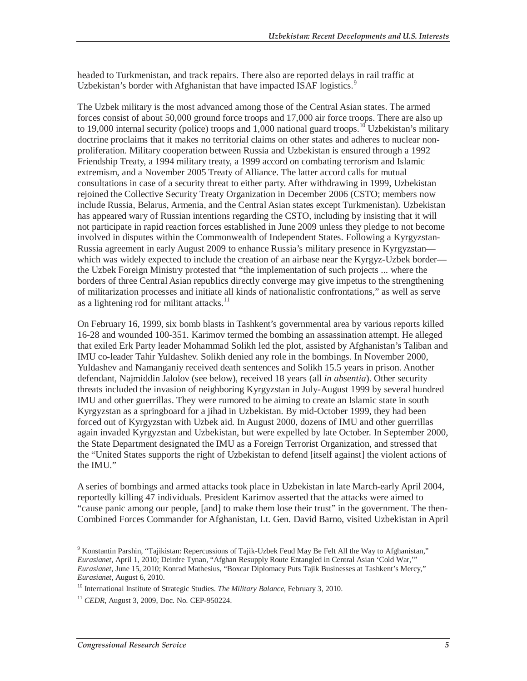headed to Turkmenistan, and track repairs. There also are reported delays in rail traffic at Uzbekistan's border with Afghanistan that have impacted ISAF logistics.<sup>9</sup>

The Uzbek military is the most advanced among those of the Central Asian states. The armed forces consist of about 50,000 ground force troops and 17,000 air force troops. There are also up to 19,000 internal security (police) troops and  $1,000$  national guard troops.<sup>10</sup> Uzbekistan's military doctrine proclaims that it makes no territorial claims on other states and adheres to nuclear nonproliferation. Military cooperation between Russia and Uzbekistan is ensured through a 1992 Friendship Treaty, a 1994 military treaty, a 1999 accord on combating terrorism and Islamic extremism, and a November 2005 Treaty of Alliance. The latter accord calls for mutual consultations in case of a security threat to either party. After withdrawing in 1999, Uzbekistan rejoined the Collective Security Treaty Organization in December 2006 (CSTO; members now include Russia, Belarus, Armenia, and the Central Asian states except Turkmenistan). Uzbekistan has appeared wary of Russian intentions regarding the CSTO, including by insisting that it will not participate in rapid reaction forces established in June 2009 unless they pledge to not become involved in disputes within the Commonwealth of Independent States. Following a Kyrgyzstan-Russia agreement in early August 2009 to enhance Russia's military presence in Kyrgyzstan which was widely expected to include the creation of an airbase near the Kyrgyz-Uzbek border the Uzbek Foreign Ministry protested that "the implementation of such projects ... where the borders of three Central Asian republics directly converge may give impetus to the strengthening of militarization processes and initiate all kinds of nationalistic confrontations," as well as serve as a lightening rod for militant attacks. $11$ 

On February 16, 1999, six bomb blasts in Tashkent's governmental area by various reports killed 16-28 and wounded 100-351. Karimov termed the bombing an assassination attempt. He alleged that exiled Erk Party leader Mohammad Solikh led the plot, assisted by Afghanistan's Taliban and IMU co-leader Tahir Yuldashev. Solikh denied any role in the bombings. In November 2000, Yuldashev and Namanganiy received death sentences and Solikh 15.5 years in prison. Another defendant, Najmiddin Jalolov (see below), received 18 years (all *in absentia*). Other security threats included the invasion of neighboring Kyrgyzstan in July-August 1999 by several hundred IMU and other guerrillas. They were rumored to be aiming to create an Islamic state in south Kyrgyzstan as a springboard for a jihad in Uzbekistan. By mid-October 1999, they had been forced out of Kyrgyzstan with Uzbek aid. In August 2000, dozens of IMU and other guerrillas again invaded Kyrgyzstan and Uzbekistan, but were expelled by late October. In September 2000, the State Department designated the IMU as a Foreign Terrorist Organization, and stressed that the "United States supports the right of Uzbekistan to defend [itself against] the violent actions of the IMU."

A series of bombings and armed attacks took place in Uzbekistan in late March-early April 2004, reportedly killing 47 individuals. President Karimov asserted that the attacks were aimed to "cause panic among our people, [and] to make them lose their trust" in the government. The then-Combined Forces Commander for Afghanistan, Lt. Gen. David Barno, visited Uzbekistan in April

<sup>&</sup>lt;sup>9</sup> Konstantin Parshin, "Tajikistan: Repercussions of Tajik-Uzbek Feud May Be Felt All the Way to Afghanistan," *Eurasianet*, April 1, 2010; Deirdre Tynan, "Afghan Resupply Route Entangled in Central Asian 'Cold War,'" *Eurasianet*, June 15, 2010; Konrad Mathesius, "Boxcar Diplomacy Puts Tajik Businesses at Tashkent's Mercy," *Eurasianet*, August 6, 2010.<br><sup>10</sup> International Institute of Strategic Studies. *The Military Balance*, February 3, 2010.

<sup>11</sup> *CEDR*, August 3, 2009, Doc. No. CEP-950224.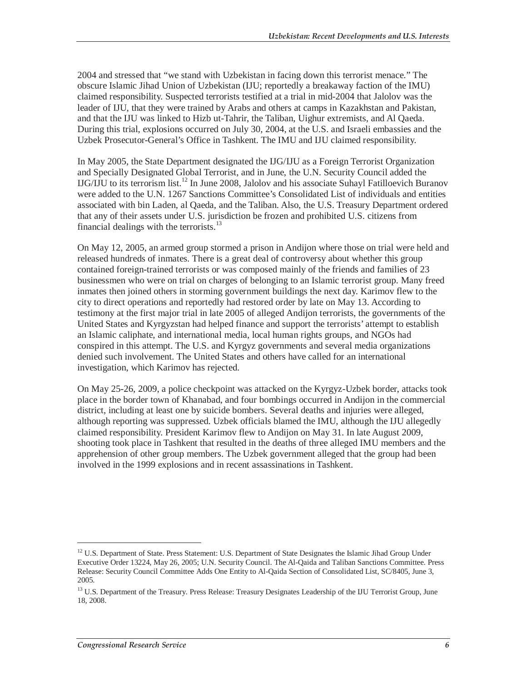2004 and stressed that "we stand with Uzbekistan in facing down this terrorist menace." The obscure Islamic Jihad Union of Uzbekistan (IJU; reportedly a breakaway faction of the IMU) claimed responsibility. Suspected terrorists testified at a trial in mid-2004 that Jalolov was the leader of IJU, that they were trained by Arabs and others at camps in Kazakhstan and Pakistan, and that the IJU was linked to Hizb ut-Tahrir, the Taliban, Uighur extremists, and Al Qaeda. During this trial, explosions occurred on July 30, 2004, at the U.S. and Israeli embassies and the Uzbek Prosecutor-General's Office in Tashkent. The IMU and IJU claimed responsibility.

In May 2005, the State Department designated the IJG/IJU as a Foreign Terrorist Organization and Specially Designated Global Terrorist, and in June, the U.N. Security Council added the  $IJG/IJU$  to its terrorism list.<sup>12</sup> In June 2008, Jalolov and his associate Suhayl Fatilloevich Buranov were added to the U.N. 1267 Sanctions Committee's Consolidated List of individuals and entities associated with bin Laden, al Qaeda, and the Taliban. Also, the U.S. Treasury Department ordered that any of their assets under U.S. jurisdiction be frozen and prohibited U.S. citizens from financial dealings with the terrorists.<sup>13</sup>

On May 12, 2005, an armed group stormed a prison in Andijon where those on trial were held and released hundreds of inmates. There is a great deal of controversy about whether this group contained foreign-trained terrorists or was composed mainly of the friends and families of 23 businessmen who were on trial on charges of belonging to an Islamic terrorist group. Many freed inmates then joined others in storming government buildings the next day. Karimov flew to the city to direct operations and reportedly had restored order by late on May 13. According to testimony at the first major trial in late 2005 of alleged Andijon terrorists, the governments of the United States and Kyrgyzstan had helped finance and support the terrorists' attempt to establish an Islamic caliphate, and international media, local human rights groups, and NGOs had conspired in this attempt. The U.S. and Kyrgyz governments and several media organizations denied such involvement. The United States and others have called for an international investigation, which Karimov has rejected.

On May 25-26, 2009, a police checkpoint was attacked on the Kyrgyz-Uzbek border, attacks took place in the border town of Khanabad, and four bombings occurred in Andijon in the commercial district, including at least one by suicide bombers. Several deaths and injuries were alleged, although reporting was suppressed. Uzbek officials blamed the IMU, although the IJU allegedly claimed responsibility. President Karimov flew to Andijon on May 31. In late August 2009, shooting took place in Tashkent that resulted in the deaths of three alleged IMU members and the apprehension of other group members. The Uzbek government alleged that the group had been involved in the 1999 explosions and in recent assassinations in Tashkent.

<sup>&</sup>lt;sup>12</sup> U.S. Department of State. Press Statement: U.S. Department of State Designates the Islamic Jihad Group Under Executive Order 13224, May 26, 2005; U.N. Security Council. The Al-Qaida and Taliban Sanctions Committee. Press Release: Security Council Committee Adds One Entity to Al-Qaida Section of Consolidated List, SC/8405, June 3, 2005.

<sup>&</sup>lt;sup>13</sup> U.S. Department of the Treasury. Press Release: Treasury Designates Leadership of the IJU Terrorist Group, June 18, 2008.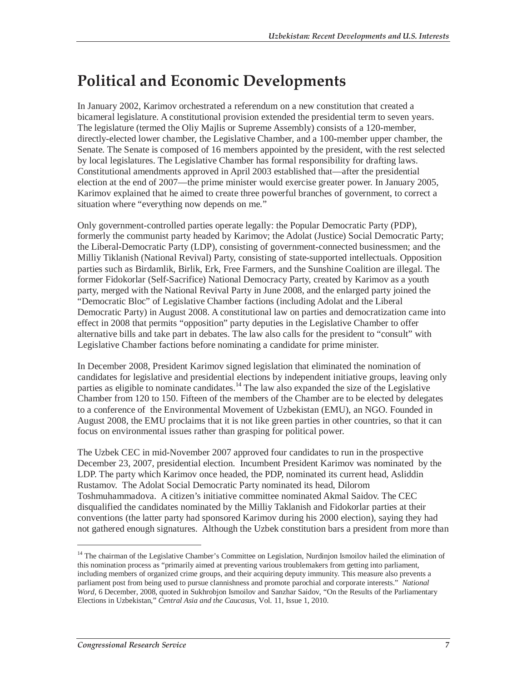## **Political and Economic Developments**

In January 2002, Karimov orchestrated a referendum on a new constitution that created a bicameral legislature. A constitutional provision extended the presidential term to seven years. The legislature (termed the Oliy Majlis or Supreme Assembly) consists of a 120-member, directly-elected lower chamber, the Legislative Chamber, and a 100-member upper chamber, the Senate. The Senate is composed of 16 members appointed by the president, with the rest selected by local legislatures. The Legislative Chamber has formal responsibility for drafting laws. Constitutional amendments approved in April 2003 established that—after the presidential election at the end of 2007—the prime minister would exercise greater power. In January 2005, Karimov explained that he aimed to create three powerful branches of government, to correct a situation where "everything now depends on me."

Only government-controlled parties operate legally: the Popular Democratic Party (PDP), formerly the communist party headed by Karimov; the Adolat (Justice) Social Democratic Party; the Liberal-Democratic Party (LDP), consisting of government-connected businessmen; and the Milliy Tiklanish (National Revival) Party, consisting of state-supported intellectuals. Opposition parties such as Birdamlik, Birlik, Erk, Free Farmers, and the Sunshine Coalition are illegal. The former Fidokorlar (Self-Sacrifice) National Democracy Party, created by Karimov as a youth party, merged with the National Revival Party in June 2008, and the enlarged party joined the "Democratic Bloc" of Legislative Chamber factions (including Adolat and the Liberal Democratic Party) in August 2008. A constitutional law on parties and democratization came into effect in 2008 that permits "opposition" party deputies in the Legislative Chamber to offer alternative bills and take part in debates. The law also calls for the president to "consult" with Legislative Chamber factions before nominating a candidate for prime minister.

In December 2008, President Karimov signed legislation that eliminated the nomination of candidates for legislative and presidential elections by independent initiative groups, leaving only parties as eligible to nominate candidates.<sup>14</sup> The law also expanded the size of the Legislative Chamber from 120 to 150. Fifteen of the members of the Chamber are to be elected by delegates to a conference of the Environmental Movement of Uzbekistan (EMU), an NGO. Founded in August 2008, the EMU proclaims that it is not like green parties in other countries, so that it can focus on environmental issues rather than grasping for political power.

The Uzbek CEC in mid-November 2007 approved four candidates to run in the prospective December 23, 2007, presidential election. Incumbent President Karimov was nominated by the LDP. The party which Karimov once headed, the PDP, nominated its current head, Asliddin Rustamov. The Adolat Social Democratic Party nominated its head, Dilorom Toshmuhammadova. A citizen's initiative committee nominated Akmal Saidov. The CEC disqualified the candidates nominated by the Milliy Taklanish and Fidokorlar parties at their conventions (the latter party had sponsored Karimov during his 2000 election), saying they had not gathered enough signatures. Although the Uzbek constitution bars a president from more than

<sup>&</sup>lt;sup>14</sup> The chairman of the Legislative Chamber's Committee on Legislation, Nurdinjon Ismoilov hailed the elimination of this nomination process as "primarily aimed at preventing various troublemakers from getting into parliament, including members of organized crime groups, and their acquiring deputy immunity. This measure also prevents a parliament post from being used to pursue clannishness and promote parochial and corporate interests." *National Word*, 6 December, 2008, quoted in Sukhrobjon Ismoilov and Sanzhar Saidov, "On the Results of the Parliamentary Elections in Uzbekistan," *Central Asia and the Caucasus*, Vol. 11, Issue 1, 2010.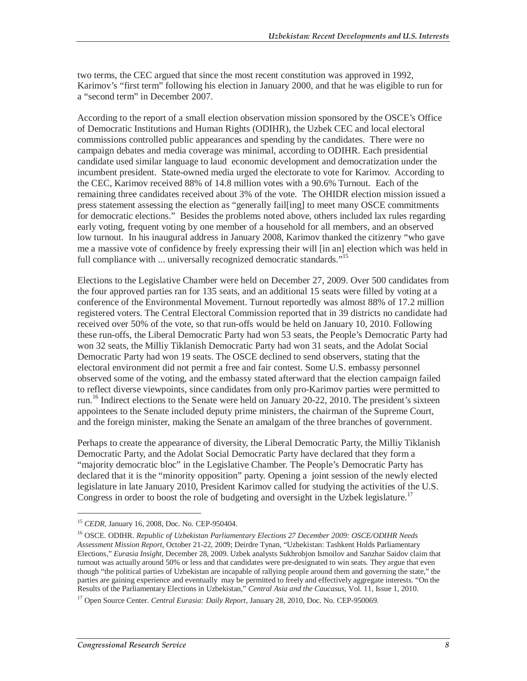two terms, the CEC argued that since the most recent constitution was approved in 1992, Karimov's "first term" following his election in January 2000, and that he was eligible to run for a "second term" in December 2007.

According to the report of a small election observation mission sponsored by the OSCE's Office of Democratic Institutions and Human Rights (ODIHR), the Uzbek CEC and local electoral commissions controlled public appearances and spending by the candidates. There were no campaign debates and media coverage was minimal, according to ODIHR. Each presidential candidate used similar language to laud economic development and democratization under the incumbent president. State-owned media urged the electorate to vote for Karimov. According to the CEC, Karimov received 88% of 14.8 million votes with a 90.6% Turnout. Each of the remaining three candidates received about 3% of the vote. The OHIDR election mission issued a press statement assessing the election as "generally fail[ing] to meet many OSCE commitments for democratic elections." Besides the problems noted above, others included lax rules regarding early voting, frequent voting by one member of a household for all members, and an observed low turnout. In his inaugural address in January 2008, Karimov thanked the citizenry "who gave me a massive vote of confidence by freely expressing their will [in an] election which was held in full compliance with ... universally recognized democratic standards."<sup>15</sup>

Elections to the Legislative Chamber were held on December 27, 2009. Over 500 candidates from the four approved parties ran for 135 seats, and an additional 15 seats were filled by voting at a conference of the Environmental Movement. Turnout reportedly was almost 88% of 17.2 million registered voters. The Central Electoral Commission reported that in 39 districts no candidate had received over 50% of the vote, so that run-offs would be held on January 10, 2010. Following these run-offs, the Liberal Democratic Party had won 53 seats, the People's Democratic Party had won 32 seats, the Milliy Tiklanish Democratic Party had won 31 seats, and the Adolat Social Democratic Party had won 19 seats. The OSCE declined to send observers, stating that the electoral environment did not permit a free and fair contest. Some U.S. embassy personnel observed some of the voting, and the embassy stated afterward that the election campaign failed to reflect diverse viewpoints, since candidates from only pro-Karimov parties were permitted to run.16 Indirect elections to the Senate were held on January 20-22, 2010. The president's sixteen appointees to the Senate included deputy prime ministers, the chairman of the Supreme Court, and the foreign minister, making the Senate an amalgam of the three branches of government.

Perhaps to create the appearance of diversity, the Liberal Democratic Party, the Milliy Tiklanish Democratic Party, and the Adolat Social Democratic Party have declared that they form a "majority democratic bloc" in the Legislative Chamber. The People's Democratic Party has declared that it is the "minority opposition" party. Opening a joint session of the newly elected legislature in late January 2010, President Karimov called for studying the activities of the U.S. Congress in order to boost the role of budgeting and oversight in the Uzbek legislature.<sup>17</sup>

<sup>15</sup> *CEDR*, January 16, 2008, Doc. No. CEP-950404.

<sup>16</sup> OSCE. ODIHR. *Republic of Uzbekistan Parliamentary Elections 27 December 2009: OSCE/ODIHR Needs Assessment Mission Report*, October 21-22, 2009; Deirdre Tynan, "Uzbekistan: Tashkent Holds Parliamentary Elections," *Eurasia Insight*, December 28, 2009. Uzbek analysts Sukhrobjon Ismoilov and Sanzhar Saidov claim that turnout was actually around 50% or less and that candidates were pre-designated to win seats. They argue that even though "the political parties of Uzbekistan are incapable of rallying people around them and governing the state," the parties are gaining experience and eventually may be permitted to freely and effectively aggregate interests. "On the Results of the Parliamentary Elections in Uzbekistan," *Central Asia and the Caucasus*, Vol. 11, Issue 1, 2010.

<sup>17</sup> Open Source Center. *Central Eurasia: Daily Report*, January 28, 2010, Doc. No. CEP-950069.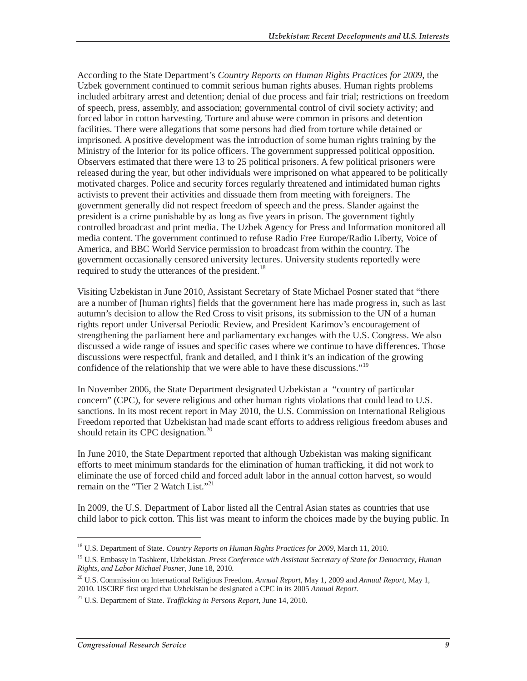According to the State Department's *Country Reports on Human Rights Practices for 2009*, the Uzbek government continued to commit serious human rights abuses. Human rights problems included arbitrary arrest and detention; denial of due process and fair trial; restrictions on freedom of speech, press, assembly, and association; governmental control of civil society activity; and forced labor in cotton harvesting. Torture and abuse were common in prisons and detention facilities. There were allegations that some persons had died from torture while detained or imprisoned. A positive development was the introduction of some human rights training by the Ministry of the Interior for its police officers. The government suppressed political opposition. Observers estimated that there were 13 to 25 political prisoners. A few political prisoners were released during the year, but other individuals were imprisoned on what appeared to be politically motivated charges. Police and security forces regularly threatened and intimidated human rights activists to prevent their activities and dissuade them from meeting with foreigners. The government generally did not respect freedom of speech and the press. Slander against the president is a crime punishable by as long as five years in prison. The government tightly controlled broadcast and print media. The Uzbek Agency for Press and Information monitored all media content. The government continued to refuse Radio Free Europe/Radio Liberty, Voice of America, and BBC World Service permission to broadcast from within the country. The government occasionally censored university lectures. University students reportedly were required to study the utterances of the president.<sup>18</sup>

Visiting Uzbekistan in June 2010, Assistant Secretary of State Michael Posner stated that "there are a number of [human rights] fields that the government here has made progress in, such as last autumn's decision to allow the Red Cross to visit prisons, its submission to the UN of a human rights report under Universal Periodic Review, and President Karimov's encouragement of strengthening the parliament here and parliamentary exchanges with the U.S. Congress. We also discussed a wide range of issues and specific cases where we continue to have differences. Those discussions were respectful, frank and detailed, and I think it's an indication of the growing confidence of the relationship that we were able to have these discussions."<sup>19</sup>

In November 2006, the State Department designated Uzbekistan a "country of particular concern" (CPC), for severe religious and other human rights violations that could lead to U.S. sanctions. In its most recent report in May 2010, the U.S. Commission on International Religious Freedom reported that Uzbekistan had made scant efforts to address religious freedom abuses and should retain its CPC designation. $^{20}$ 

In June 2010, the State Department reported that although Uzbekistan was making significant efforts to meet minimum standards for the elimination of human trafficking, it did not work to eliminate the use of forced child and forced adult labor in the annual cotton harvest, so would remain on the "Tier 2 Watch List."<sup>21</sup>

In 2009, the U.S. Department of Labor listed all the Central Asian states as countries that use child labor to pick cotton. This list was meant to inform the choices made by the buying public. In

<sup>18</sup> U.S. Department of State. *Country Reports on Human Rights Practices for 2009*, March 11, 2010.

<sup>19</sup> U.S. Embassy in Tashkent, Uzbekistan. *Press Conference with Assistant Secretary of State for Democracy, Human Rights, and Labor Michael Posner*, June 18, 2010.

<sup>20</sup> U.S. Commission on International Religious Freedom. *Annual Report*, May 1, 2009 and *Annual Report*, May 1, 2010. USCIRF first urged that Uzbekistan be designated a CPC in its 2005 *Annual Report*.

<sup>21</sup> U.S. Department of State. *Trafficking in Persons Report*, June 14, 2010.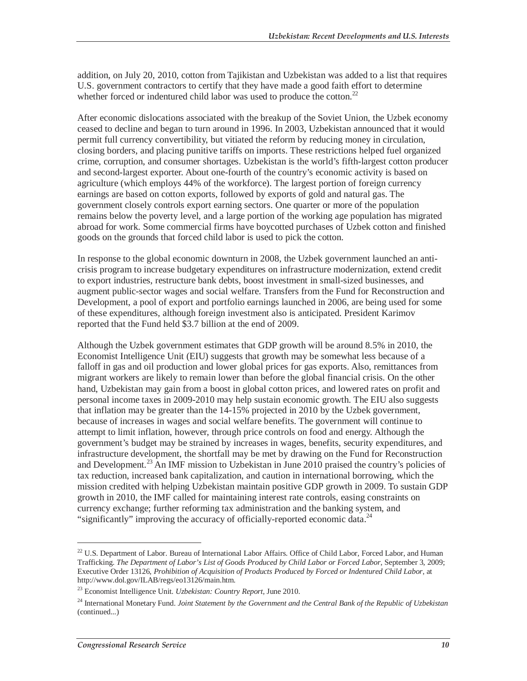addition, on July 20, 2010, cotton from Tajikistan and Uzbekistan was added to a list that requires U.S. government contractors to certify that they have made a good faith effort to determine whether forced or indentured child labor was used to produce the cotton.<sup>22</sup>

After economic dislocations associated with the breakup of the Soviet Union, the Uzbek economy ceased to decline and began to turn around in 1996. In 2003, Uzbekistan announced that it would permit full currency convertibility, but vitiated the reform by reducing money in circulation, closing borders, and placing punitive tariffs on imports. These restrictions helped fuel organized crime, corruption, and consumer shortages. Uzbekistan is the world's fifth-largest cotton producer and second-largest exporter. About one-fourth of the country's economic activity is based on agriculture (which employs 44% of the workforce). The largest portion of foreign currency earnings are based on cotton exports, followed by exports of gold and natural gas. The government closely controls export earning sectors. One quarter or more of the population remains below the poverty level, and a large portion of the working age population has migrated abroad for work. Some commercial firms have boycotted purchases of Uzbek cotton and finished goods on the grounds that forced child labor is used to pick the cotton.

In response to the global economic downturn in 2008, the Uzbek government launched an anticrisis program to increase budgetary expenditures on infrastructure modernization, extend credit to export industries, restructure bank debts, boost investment in small-sized businesses, and augment public-sector wages and social welfare. Transfers from the Fund for Reconstruction and Development, a pool of export and portfolio earnings launched in 2006, are being used for some of these expenditures, although foreign investment also is anticipated. President Karimov reported that the Fund held \$3.7 billion at the end of 2009.

Although the Uzbek government estimates that GDP growth will be around 8.5% in 2010, the Economist Intelligence Unit (EIU) suggests that growth may be somewhat less because of a falloff in gas and oil production and lower global prices for gas exports. Also, remittances from migrant workers are likely to remain lower than before the global financial crisis. On the other hand, Uzbekistan may gain from a boost in global cotton prices, and lowered rates on profit and personal income taxes in 2009-2010 may help sustain economic growth. The EIU also suggests that inflation may be greater than the 14-15% projected in 2010 by the Uzbek government, because of increases in wages and social welfare benefits. The government will continue to attempt to limit inflation, however, through price controls on food and energy. Although the government's budget may be strained by increases in wages, benefits, security expenditures, and infrastructure development, the shortfall may be met by drawing on the Fund for Reconstruction and Development.<sup>23</sup> An IMF mission to Uzbekistan in June 2010 praised the country's policies of tax reduction, increased bank capitalization, and caution in international borrowing, which the mission credited with helping Uzbekistan maintain positive GDP growth in 2009. To sustain GDP growth in 2010, the IMF called for maintaining interest rate controls, easing constraints on currency exchange; further reforming tax administration and the banking system, and "significantly" improving the accuracy of officially-reported economic data.<sup>24</sup>

<sup>&</sup>lt;sup>22</sup> U.S. Department of Labor. Bureau of International Labor Affairs. Office of Child Labor, Forced Labor, and Human Trafficking. *The Department of Labor's List of Goods Produced by Child Labor or Forced Labor*, September 3, 2009; Executive Order 13126, *Prohibition of Acquisition of Products Produced by Forced or Indentured Child Labor*, at http://www.dol.gov/ILAB/regs/eo13126/main.htm.

<sup>23</sup> Economist Intelligence Unit. *Uzbekistan: Country Report*, June 2010.

<sup>24</sup> International Monetary Fund. *Joint Statement by the Government and the Central Bank of the Republic of Uzbekistan*  (continued...)